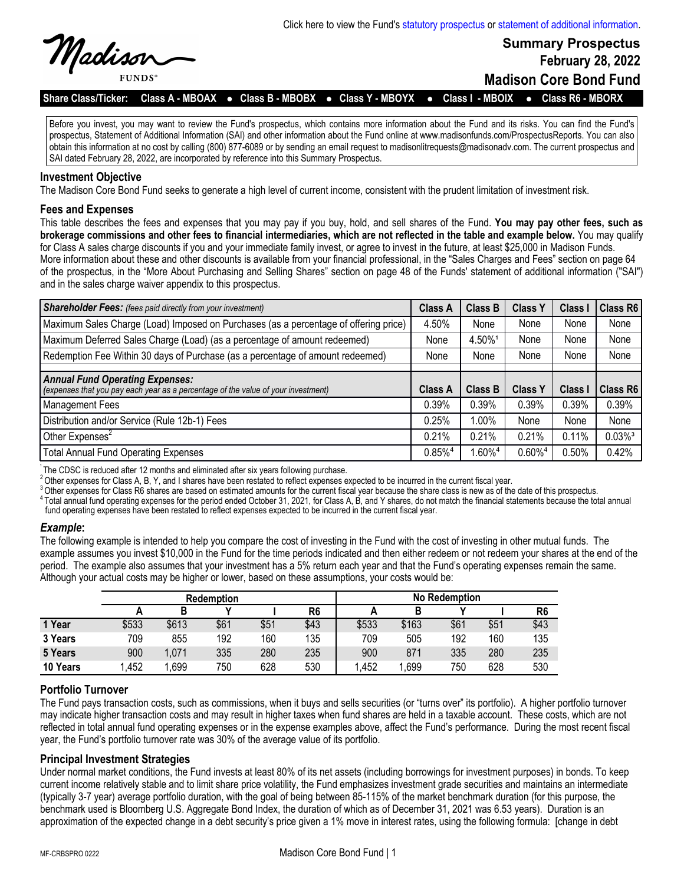

**Summary Prospectus February 28, 2022**

**Madison Core Bond Fund**

**Share Class/Ticker: Class A - MBOAX** l **Class B - MBOBX** l **Class Y - MBOYX** l **Class I - MBOIX** l **Class R6 - MBORX**

Before you invest, you may want to review the Fund's prospectus, which contains more information about the Fund and its risks. You can find the Fund's prospectus, Statement of Additional Information (SAI) and other information about the Fund online at www.madisonfunds.com/ProspectusReports. You can also obtain this information at no cost by calling (800) 877-6089 or by sending an email request to madisonlitrequests@madisonadv.com. The current prospectus and SAI dated February 28, 2022, are incorporated by reference into this Summary Prospectus.

#### **Investment Objective**

The Madison Core Bond Fund seeks to generate a high level of current income, consistent with the prudent limitation of investment risk.

#### **Fees and Expenses**

This table describes the fees and expenses that you may pay if you buy, hold, and sell shares of the Fund. **You may pay other fees, such as brokerage commissions and other fees to financial intermediaries, which are not reflected in the table and example below.** You may qualify for Class A sales charge discounts if you and your immediate family invest, or agree to invest in the future, at least \$25,000 in Madison Funds. More information about these and other discounts is available from your financial professional, in the "Sales Charges and Fees" section on page 64 of the prospectus, in the "More About Purchasing and Selling Shares" section on page 48 of the Funds' statement of additional information ("SAI") and in the sales charge waiver appendix to this prospectus.

| <b>Shareholder Fees:</b> (fees paid directly from your investment)                                                          | <b>Class A</b>        | <b>Class B</b>        | <b>Class Y</b>        | <b>Class</b> | Class R6              |
|-----------------------------------------------------------------------------------------------------------------------------|-----------------------|-----------------------|-----------------------|--------------|-----------------------|
| Maximum Sales Charge (Load) Imposed on Purchases (as a percentage of offering price)                                        | 4.50%                 | None                  | None                  | None         | None                  |
| Maximum Deferred Sales Charge (Load) (as a percentage of amount redeemed)                                                   | None                  | 4.50%1                | None                  | None         | None                  |
| Redemption Fee Within 30 days of Purchase (as a percentage of amount redeemed)                                              | None                  | None                  | None                  | None         | None                  |
|                                                                                                                             |                       |                       |                       |              |                       |
| <b>Annual Fund Operating Expenses:</b><br>(expenses that you pay each year as a percentage of the value of your investment) | Class A               | <b>Class B</b>        | <b>Class Y</b>        | <b>Class</b> | Class R6              |
| Management Fees                                                                                                             | 0.39%                 | 0.39%                 | 0.39%                 | 0.39%        | 0.39%                 |
| Distribution and/or Service (Rule 12b-1) Fees                                                                               | 0.25%                 | 1.00%                 | None                  | None         | None                  |
| Other Expenses <sup>2</sup>                                                                                                 | 0.21%                 | 0.21%                 | 0.21%                 | 0.11%        | $0.03\%$ <sup>3</sup> |
| <b>Total Annual Fund Operating Expenses</b>                                                                                 | $0.85\%$ <sup>4</sup> | $1.60\%$ <sup>4</sup> | $0.60\%$ <sup>4</sup> | $0.50\%$     | 0.42%                 |

The CDSC is reduced after 12 months and eliminated after six years following purchase.

2Other expenses for Class A, B, Y, and I shares have been restated to reflect expenses expected to be incurred in the current fiscal year.

 $^3$ Other expenses for Class R6 shares are based on estimated amounts for the current fiscal year because the share class is new as of the date of this prospectus.

<sup>4</sup> Total annual fund operating expenses for the period ended October 31, 2021, for Class A, B, and Y shares, do not match the financial statements because the total annual fund operating expenses have been restated to reflect expenses expected to be incurred in the current fiscal year.

### *Example***:**

The following example is intended to help you compare the cost of investing in the Fund with the cost of investing in other mutual funds. The example assumes you invest \$10,000 in the Fund for the time periods indicated and then either redeem or not redeem your shares at the end of the period. The example also assumes that your investment has a 5% return each year and that the Fund's operating expenses remain the same. Although your actual costs may be higher or lower, based on these assumptions, your costs would be:

|          | <b>Redemption</b> |       |      | <b>No Redemption</b> |                |       |       |      |      |      |
|----------|-------------------|-------|------|----------------------|----------------|-------|-------|------|------|------|
|          |                   |       |      |                      | R <sub>6</sub> |       |       |      |      | R6   |
| 1 Year   | \$533             | \$613 | \$61 | \$51                 | \$43           | \$533 | \$163 | \$61 | \$51 | \$43 |
| 3 Years  | 709               | 855   | 192  | 160                  | 135            | 709   | 505   | 192  | 160  | 135  |
| 5 Years  | 900               | 1,071 | 335  | 280                  | 235            | 900   | 871   | 335  | 280  | 235  |
| 10 Years | 1,452             | .699  | 750  | 628                  | 530            | .452  | ,699  | 750  | 628  | 530  |

# **Portfolio Turnover**

The Fund pays transaction costs, such as commissions, when it buys and sells securities (or "turns over" its portfolio). A higher portfolio turnover may indicate higher transaction costs and may result in higher taxes when fund shares are held in a taxable account. These costs, which are not reflected in total annual fund operating expenses or in the expense examples above, affect the Fund's performance. During the most recent fiscal year, the Fund's portfolio turnover rate was 30% of the average value of its portfolio.

### **Principal Investment Strategies**

Under normal market conditions, the Fund invests at least 80% of its net assets (including borrowings for investment purposes) in bonds. To keep current income relatively stable and to limit share price volatility, the Fund emphasizes investment grade securities and maintains an intermediate (typically 3-7 year) average portfolio duration, with the goal of being between 85-115% of the market benchmark duration (for this purpose, the benchmark used is Bloomberg U.S. Aggregate Bond Index, the duration of which as of December 31, 2021 was 6.53 years). Duration is an approximation of the expected change in a debt security's price given a 1% move in interest rates, using the following formula: [change in debt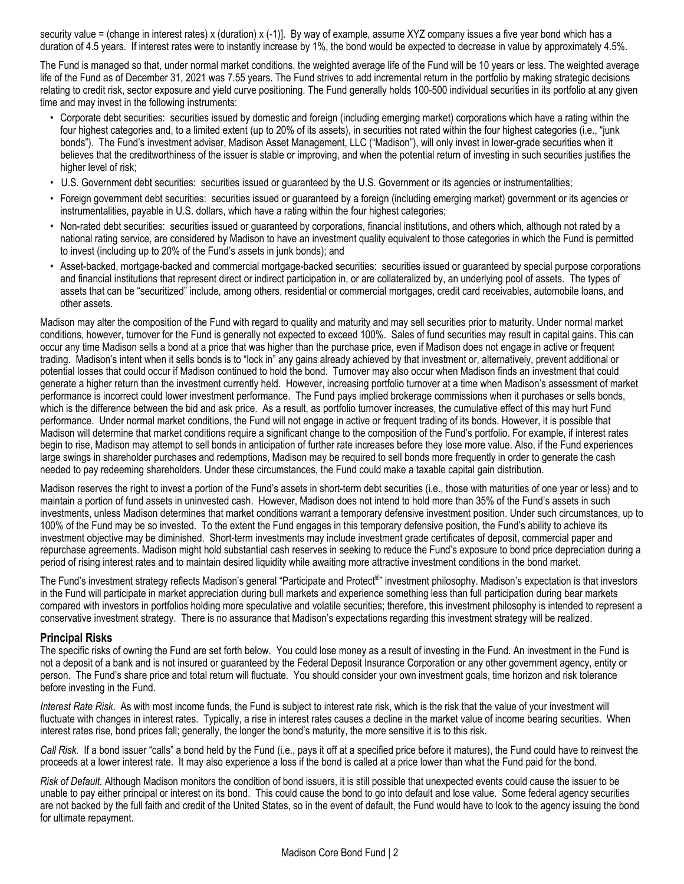security value = (change in interest rates) x (duration) x (-1)]. By way of example, assume XYZ company issues a five year bond which has a duration of 4.5 years. If interest rates were to instantly increase by 1%, the bond would be expected to decrease in value by approximately 4.5%.

The Fund is managed so that, under normal market conditions, the weighted average life of the Fund will be 10 years or less. The weighted average life of the Fund as of December 31, 2021 was 7.55 years. The Fund strives to add incremental return in the portfolio by making strategic decisions relating to credit risk, sector exposure and yield curve positioning. The Fund generally holds 100-500 individual securities in its portfolio at any given time and may invest in the following instruments:

- Corporate debt securities: securities issued by domestic and foreign (including emerging market) corporations which have a rating within the four highest categories and, to a limited extent (up to 20% of its assets), in securities not rated within the four highest categories (i.e., "junk bonds"). The Fund's investment adviser, Madison Asset Management, LLC ("Madison"), will only invest in lower-grade securities when it believes that the creditworthiness of the issuer is stable or improving, and when the potential return of investing in such securities justifies the higher level of risk;
- U.S. Government debt securities: securities issued or guaranteed by the U.S. Government or its agencies or instrumentalities;
- Foreign government debt securities: securities issued or guaranteed by a foreign (including emerging market) government or its agencies or instrumentalities, payable in U.S. dollars, which have a rating within the four highest categories;
- Non-rated debt securities:securities issued or guaranteed by corporations, financial institutions, and others which, although not rated by a national rating service, are considered by Madison to have an investment quality equivalent to those categories in which the Fund is permitted to invest (including up to 20% of the Fund's assets in junk bonds); and
- Asset-backed, mortgage-backed and commercial mortgage-backed securities: securities issued or guaranteed by special purpose corporations and financial institutions that represent direct or indirect participation in, or are collateralized by, an underlying pool of assets. The types of assets that can be "securitized" include, among others, residential or commercial mortgages, credit card receivables, automobile loans, and other assets.

Madison may alter the composition of the Fund with regard to quality and maturity and may sell securities prior to maturity. Under normal market conditions, however, turnover for the Fund is generally not expected to exceed 100%. Sales of fund securities may result in capital gains. This can occur any time Madison sells a bond at a price that was higher than the purchase price, even if Madison does not engage in active or frequent trading. Madison's intent when it sells bonds is to "lock in" any gains already achieved by that investment or, alternatively, prevent additional or potential losses that could occur if Madison continued to hold the bond. Turnover may also occur when Madison finds an investment that could generate a higher return than the investment currently held. However, increasing portfolio turnover at a time when Madison's assessment of market performance is incorrect could lower investment performance. The Fund pays implied brokerage commissions when it purchases or sells bonds, which is the difference between the bid and ask price. As a result, as portfolio turnover increases, the cumulative effect of this may hurt Fund performance. Under normal market conditions, the Fund will not engage in active or frequent trading of its bonds. However, it is possible that Madison will determine that market conditions require a significant change to the composition of the Fund's portfolio. For example, if interest rates begin to rise, Madison may attempt to sell bonds in anticipation of further rate increases before they lose more value. Also, if the Fund experiences large swings in shareholder purchases and redemptions, Madison may be required to sell bonds more frequently in order to generate the cash needed to pay redeeming shareholders. Under these circumstances, the Fund could make a taxable capital gain distribution.

Madison reserves the right to invest a portion of the Fund's assets in short-term debt securities (i.e., those with maturities of one year or less) and to maintain a portion of fund assets in uninvested cash. However, Madison does not intend to hold more than 35% of the Fund's assets in such investments, unless Madison determines that market conditions warrant a temporary defensive investment position. Under such circumstances, up to 100% of the Fund may be so invested. To the extent the Fund engages in this temporary defensive position, the Fund's ability to achieve its investment objective may be diminished. Short-term investments may include investment grade certificates of deposit, commercial paper and repurchase agreements. Madison might hold substantial cash reserves in seeking to reduce the Fund's exposure to bond price depreciation during a period of rising interest rates and to maintain desired liquidity while awaiting more attractive investment conditions in the bond market.

The Fund's investment strategy reflects Madison's general "Participate and Protect<sup>®</sup>" investment philosophy. Madison's expectation is that investors in the Fund will participate in market appreciation during bull markets and experience something less than full participation during bear markets compared with investors in portfolios holding more speculative and volatile securities; therefore, this investment philosophy is intended to represent a conservative investment strategy. There is no assurance that Madison's expectations regarding this investment strategy will be realized.

### **Principal Risks**

The specific risks of owning the Fund are set forth below. You could lose money as a result of investing in the Fund. An investment in the Fund is not a deposit of a bank and is not insured or guaranteed by the Federal Deposit Insurance Corporation or any other government agency, entity or person. The Fund's share price and total return will fluctuate. You should consider your own investment goals, time horizon and risk tolerance before investing in the Fund.

*Interest Rate Risk*. As with most income funds, the Fund is subject to interest rate risk, which is the risk that the value of your investment will fluctuate with changes in interest rates. Typically, a rise in interest rates causes a decline in the market value of income bearing securities. When interest rates rise, bond prices fall; generally, the longer the bond's maturity, the more sensitive it is to this risk.

*Call Risk.* If a bond issuer "calls" a bond held by the Fund (i.e., pays it off at a specified price before it matures), the Fund could have to reinvest the proceeds at a lower interest rate. It may also experience a loss if the bond is called at a price lower than what the Fund paid for the bond.

*Risk of Default.* Although Madison monitors the condition of bond issuers, it is still possible that unexpected events could cause the issuer to be unable to pay either principal or interest on its bond. This could cause the bond to go into default and lose value. Some federal agency securities are not backed by the full faith and credit of the United States, so in the event of default, the Fund would have to look to the agency issuing the bond for ultimate repayment.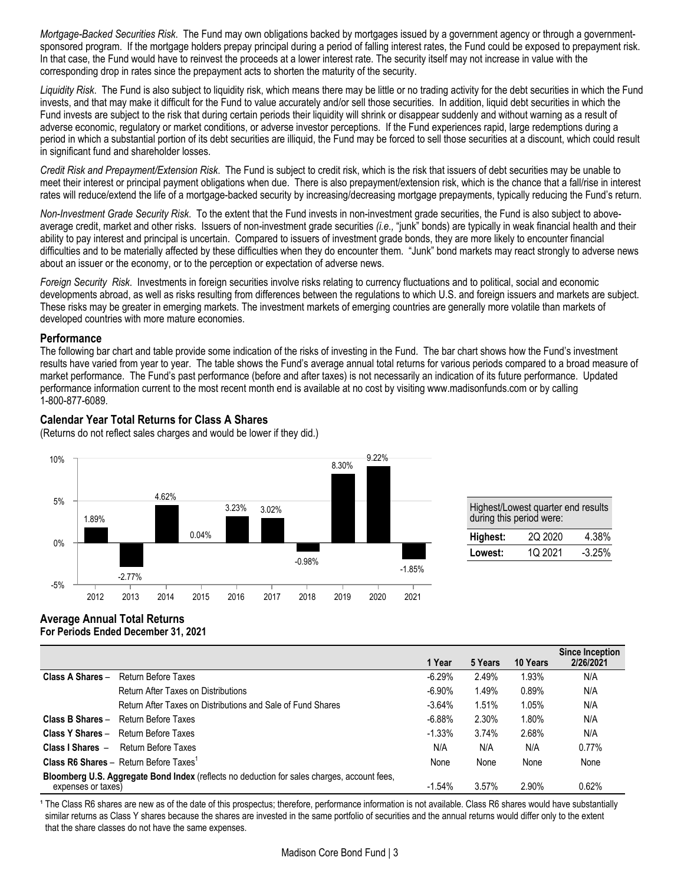*Mortgage-Backed Securities Risk*. The Fund may own obligations backed by mortgages issued by a government agency or through a governmentsponsored program. If the mortgage holders prepay principal during a period of falling interest rates, the Fund could be exposed to prepayment risk. In that case, the Fund would have to reinvest the proceeds at a lower interest rate. The security itself may not increase in value with the corresponding drop in rates since the prepayment acts to shorten the maturity of the security.

*Liquidity Risk*. The Fund is also subject to liquidity risk, which means there may be little or no trading activity for the debt securities in which the Fund invests, and that may make it difficult for the Fund to value accurately and/or sell those securities. In addition, liquid debt securities in which the Fund invests are subject to the risk that during certain periods their liquidity will shrink or disappear suddenly and without warning as a result of adverse economic, regulatory or market conditions, or adverse investor perceptions. If the Fund experiences rapid, large redemptions during a period in which a substantial portion of its debt securities are illiquid, the Fund may be forced to sell those securities at a discount, which could result in significant fund and shareholder losses.

*Credit Risk and Prepayment/Extension Risk*. The Fund is subject to credit risk, which is the risk that issuers of debt securities may be unable to meet their interest or principal payment obligations when due. There is also prepayment/extension risk, which is the chance that a fall/rise in interest rates will reduce/extend the life of a mortgage-backed security by increasing/decreasing mortgage prepayments, typically reducing the Fund's return.

*Non-Investment Grade Security Risk*. To the extent that the Fund invests in non-investment grade securities, the Fund is also subject to aboveaverage credit, market and other risks. Issuers of non-investment grade securities *(i.e.,* "junk" bonds) are typically in weak financial health and their ability to pay interest and principal is uncertain. Compared to issuers of investment grade bonds, they are more likely to encounter financial difficulties and to be materially affected by these difficulties when they do encounter them. "Junk" bond markets may react strongly to adverse news about an issuer or the economy, or to the perception or expectation of adverse news.

*Foreign Security Risk*. Investments in foreign securities involve risks relating to currency fluctuations and to political, social and economic developments abroad, as well as risks resulting from differences between the regulations to which U.S. and foreign issuers and markets are subject. These risks may be greater in emerging markets. The investment markets of emerging countries are generally more volatile than markets of developed countries with more mature economies.

### **Performance**

The following bar chart and table provide some indication of the risks of investing in the Fund. The bar chart shows how the Fund's investment results have varied from year to year. The table shows the Fund's average annual total returns for various periods compared to a broad measure of market performance. The Fund's past performance (before and after taxes) is not necessarily an indication of its future performance. Updated performance information current to the most recent month end is available at no cost by visiting www.madisonfunds.com or by calling 1-800-877-6089.

# **Calendar Year Total Returns for Class A Shares**

(Returns do not reflect sales charges and would be lower if they did.)



| Highest/Lowest quarter end results<br>during this period were: |         |        |  |  |  |  |
|----------------------------------------------------------------|---------|--------|--|--|--|--|
| Highest:                                                       | 2Q 2020 | 4.38%  |  |  |  |  |
| الممسدا                                                        | 10.2021 | 2.2E0/ |  |  |  |  |

### **Average Annual Total Returns For Periods Ended December 31, 2021**

|                                                                                                                   |                                                             | 1 Year    | 5 Years | 10 Years | <b>Since Inception</b><br>2/26/2021 |
|-------------------------------------------------------------------------------------------------------------------|-------------------------------------------------------------|-----------|---------|----------|-------------------------------------|
| Class A Shares -                                                                                                  | Return Before Taxes                                         | $-6.29%$  | 2.49%   | 1.93%    | N/A                                 |
|                                                                                                                   | Return After Taxes on Distributions                         | $-6.90%$  | 1.49%   | 0.89%    | N/A                                 |
|                                                                                                                   | Return After Taxes on Distributions and Sale of Fund Shares | $-3.64%$  | 1.51%   | 1.05%    | N/A                                 |
| Class B Shares -                                                                                                  | Return Before Taxes                                         | $-6.88%$  | 2.30%   | 1.80%    | N/A                                 |
|                                                                                                                   | <b>Class Y Shares - Return Before Taxes</b>                 | $-1.33%$  | 3.74%   | 2.68%    | N/A                                 |
| Class I Shares $-$                                                                                                | Return Before Taxes                                         | N/A       | N/A     | N/A      | $0.77\%$                            |
|                                                                                                                   | <b>Class R6 Shares - Return Before Taxes</b> <sup>1</sup>   | None      | None    | None     | None                                |
| Bloomberg U.S. Aggregate Bond Index (reflects no deduction for sales charges, account fees,<br>expenses or taxes) |                                                             | $-1.54\%$ | 3.57%   | 2.90%    | 0.62%                               |

<sup>1</sup> The Class R6 shares are new as of the date of this prospectus; therefore, performance information is not available. Class R6 shares would have substantially similar returns as Class Y shares because the shares are invested in the same portfolio of securities and the annual returns would differ only to the extent that the share classes do not have the same expenses.